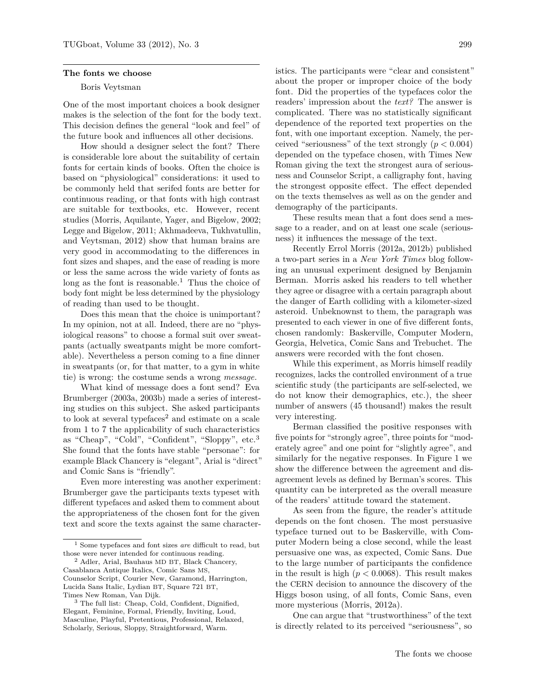## **The fonts we choose**

## Boris Veytsman

One of the most important choices a book designer makes is the selection of the font for the body text. This decision defines the general "look and feel" of the future book and influences all other decisions.

How should a designer select the font? There is considerable lore about the suitability of certain fonts for certain kinds of books. Often the choice is based on "physiological" considerations: it used to be commonly held that serifed fonts are better for continuous reading, or that fonts with high contrast are suitable for textbooks, etc. However, recent studies (Morris, Aquilante, Yager, and Bigelow, 2002; Legge and Bigelow, 2011; Akhmadeeva, Tukhvatullin, and Veytsman, 2012) show that human brains are very good in accommodating to the differences in font sizes and shapes, and the ease of reading is more or less the same across the wide variety of fonts as long as the font is reasonable.<sup>1</sup> Thus the choice of body font might be less determined by the physiology of reading than used to be thought.

Does this mean that the choice is unimportant? In my opinion, not at all. Indeed, there are no "physiological reasons" to choose a formal suit over sweatpants (actually sweatpants might be more comfortable). Nevertheless a person coming to a fine dinner in sweatpants (or, for that matter, to a gym in white tie) is wrong: the costume sends a wrong *message.*

What kind of message does a font send? Eva Brumberger (2003a, 2003b) made a series of interesting studies on this subject. She asked participants to look at several typefaces<sup>2</sup> and estimate on a scale from 1 to 7 the applicability of such characteristics as "Cheap", "Cold", "Confident", "Sloppy", etc.<sup>3</sup> She found that the fonts have stable "personae": for example Black Chancery is "elegant", Arial is "direct" and Comic Sans is "friendly".

Even more interesting was another experiment: Brumberger gave the participants texts typeset with different typefaces and asked them to comment about the appropriateness of the chosen font for the given text and score the texts against the same characteristics. The participants were "clear and consistent" about the proper or improper choice of the body font. Did the properties of the typefaces color the readers' impression about the *text?* The answer is complicated. There was no statistically significant dependence of the reported text properties on the font, with one important exception. Namely, the perceived "seriousness" of the text strongly (*p <* 0*.*004) depended on the typeface chosen, with Times New Roman giving the text the strongest aura of seriousness and Counselor Script, a calligraphy font, having the strongest opposite effect. The effect depended on the texts themselves as well as on the gender and demography of the participants.

These results mean that a font does send a message to a reader, and on at least one scale (seriousness) it influences the message of the text.

Recently Errol Morris (2012a, 2012b) published a two-part series in a *New York Times* blog following an unusual experiment designed by Benjamin Berman. Morris asked his readers to tell whether they agree or disagree with a certain paragraph about the danger of Earth colliding with a kilometer-sized asteroid. Unbeknownst to them, the paragraph was presented to each viewer in one of five different fonts, chosen randomly: Baskerville, Computer Modern, Georgia, Helvetica, Comic Sans and Trebuchet. The answers were recorded with the font chosen.

While this experiment, as Morris himself readily recognizes, lacks the controlled environment of a true scientific study (the participants are self-selected, we do not know their demographics, etc.), the sheer number of answers (45 thousand!) makes the result very interesting.

Berman classified the positive responses with five points for "strongly agree", three points for "moderately agree" and one point for "slightly agree", and similarly for the negative responses. In Figure 1 we show the difference between the agreement and disagreement levels as defined by Berman's scores. This quantity can be interpreted as the overall measure of the readers' attitude toward the statement.

As seen from the figure, the reader's attitude depends on the font chosen. The most persuasive typeface turned out to be Baskerville, with Computer Modern being a close second, while the least persuasive one was, as expected, Comic Sans. Due to the large number of participants the confidence in the result is high  $(p < 0.0068)$ . This result makes the CERN decision to announce the discovery of the Higgs boson using, of all fonts, Comic Sans, even more mysterious (Morris, 2012a).

One can argue that "trustworthiness" of the text is directly related to its perceived "seriousness", so

<sup>1</sup> Some typefaces and font sizes *are* difficult to read, but those were never intended for continuous reading.

<sup>2</sup> Adler, Arial, Bauhaus MD BT, Black Chancery, Casablanca Antique Italics, Comic Sans MS, Counselor Script, Courier New, Garamond, Harrington, Lucida Sans Italic, Lydian BT, Square 721 BT, Times New Roman, Van Dijk.

<sup>3</sup> The full list: Cheap, Cold, Confident, Dignified, Elegant, Feminine, Formal, Friendly, Inviting, Loud, Masculine, Playful, Pretentious, Professional, Relaxed, Scholarly, Serious, Sloppy, Straightforward, Warm.